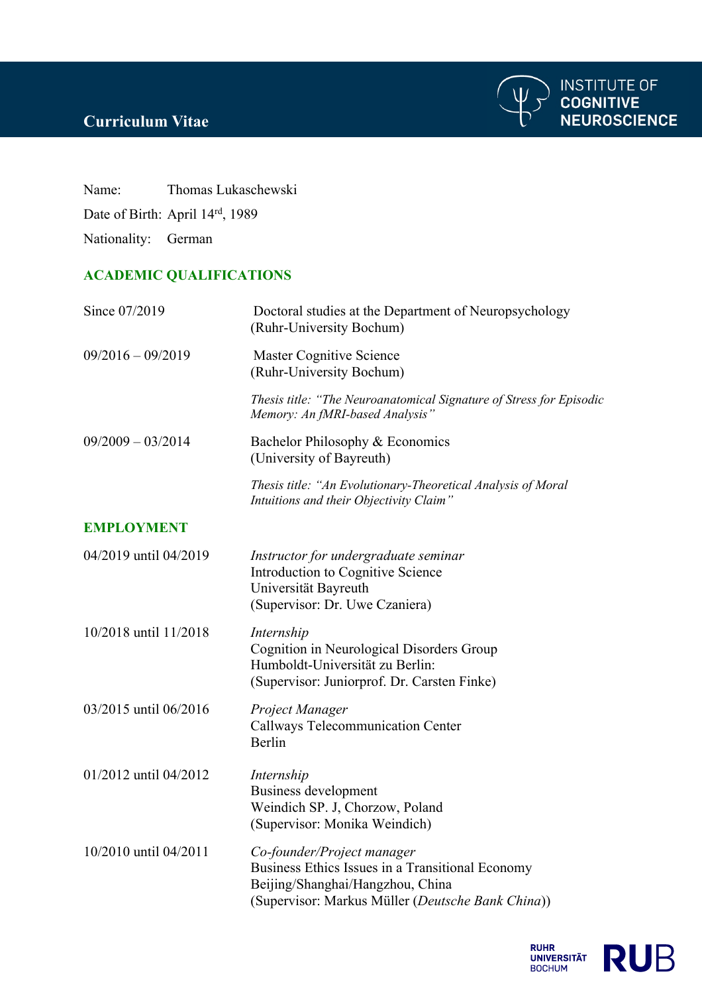## **Curriculum Vitae**



Name: Thomas Lukaschewski Date of Birth: April 14rd, 1989

Nationality: German

## **ACADEMIC QUALIFICATIONS**

| Since 07/2019         | Doctoral studies at the Department of Neuropsychology<br>(Ruhr-University Bochum)                                                                                       |
|-----------------------|-------------------------------------------------------------------------------------------------------------------------------------------------------------------------|
| $09/2016 - 09/2019$   | <b>Master Cognitive Science</b><br>(Ruhr-University Bochum)                                                                                                             |
|                       | Thesis title: "The Neuroanatomical Signature of Stress for Episodic<br>Memory: An fMRI-based Analysis"                                                                  |
| $09/2009 - 03/2014$   | Bachelor Philosophy & Economics<br>(University of Bayreuth)                                                                                                             |
|                       | Thesis title: "An Evolutionary-Theoretical Analysis of Moral<br>Intuitions and their Objectivity Claim"                                                                 |
| <b>EMPLOYMENT</b>     |                                                                                                                                                                         |
| 04/2019 until 04/2019 | Instructor for undergraduate seminar<br>Introduction to Cognitive Science<br>Universität Bayreuth<br>(Supervisor: Dr. Uwe Czaniera)                                     |
| 10/2018 until 11/2018 | Internship<br>Cognition in Neurological Disorders Group<br>Humboldt-Universität zu Berlin:<br>(Supervisor: Juniorprof. Dr. Carsten Finke)                               |
| 03/2015 until 06/2016 | Project Manager<br><b>Callways Telecommunication Center</b><br>Berlin                                                                                                   |
| 01/2012 until 04/2012 | Internship<br>Business development<br>Weindich SP. J, Chorzow, Poland<br>(Supervisor: Monika Weindich)                                                                  |
| 10/2010 until 04/2011 | Co-founder/Project manager<br>Business Ethics Issues in a Transitional Economy<br>Beijing/Shanghai/Hangzhou, China<br>(Supervisor: Markus Müller (Deutsche Bank China)) |